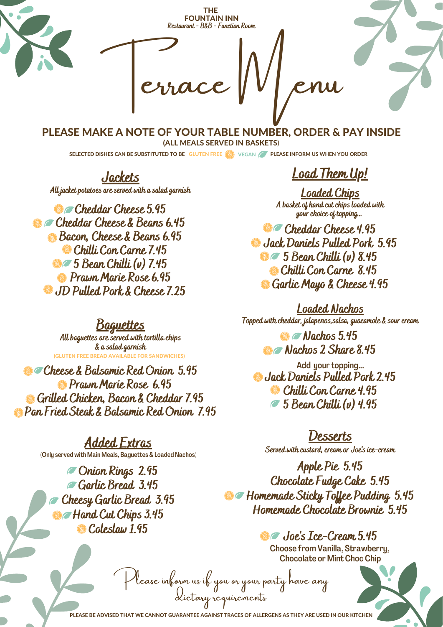Please inform us if you or your party have any dietary requirements

Jackets

All jacket potatoes are served with a salad garnish

**S** Cheddar Cheese 5.95 **B** Cheddar Cheese & Beans 6.45 Bacon, Cheese & Beans 6.95 **S** Chilli Con Carne 7.45 **8 8 5 Bean Chilli (v) 7.45 B** Prawn Marie Rose 6.95 JD Pulled Pork & Cheese 7.25

> All baguettes are served with tortilla chips & a salad garnish **AVAILABLE FOR SANDWICHES)**

#### PLEASE MAKE A NOTE OF YOUR TABLE NUMBER, ORDER & PAY INSIDE (ALL MEALS SERVED IN BASKETS)

SELECTED DISHES CAN BE SUBSTITUTED TO BE GLUTEN FREE WITH VEGAN PLEASE INFORM US WHEN YOU ORDER

Baguettes

**8 6 5 Bean Chilli (v) 8.45 & Chilli Con Carne 8.45** Garlic Mayo & Cheese 4.95

 $\odot$  Nachos 5.45 Nachos 2 Share 8.45

Add your topping... Jack Daniels Pulled Pork 2.45 Chilli Con Carne 4.95 5 Bean Chilli (v) 4.95

Cheese & Balsamic Red Onion 5.95 **B** Prawn Marie Rose 6.95 Grilled Chicken, Bacon & Cheddar 7.95 Pan Fried Steak & Balsamic Red Onion 7.95

Load Them Up!

Loaded Chips A basket of hand cut chips loaded with your choice of topping... Cheddar Cheese 4.95 Jack Daniels Pulled Pork 5.95



Loaded Nachos Topped with cheddar, jalapenos,salsa, guacamole & sour cream

# Desserts

Served with custard, cream or Joe 's ice-cream

Apple Pie 5.45 Chocolate Fudge Cake 5.45 **So Homemade Sticky Toffee Pudding 5.45** Homemade Chocolate Brownie 5.45

#### Joe 's Ice-Cream 5.45

Choose from Vanilla, Strawberry, Chocolate or Mint Choc Chip

## Added Extras

(Only served with Main Meals, Baguettes & Loaded Nachos)

Onion Rings 2.95 Garlic Bread 3.45 Cheesy Garlic Bread 3.95 Hand Cut Chips 3.45 Coleslaw 1.95

PLEASE BE ADVISED THAT WE CANNOT GUARANTEE AGAINST TRACES OF ALLERGENS AS THEY ARE USED IN OUR KITCHEN